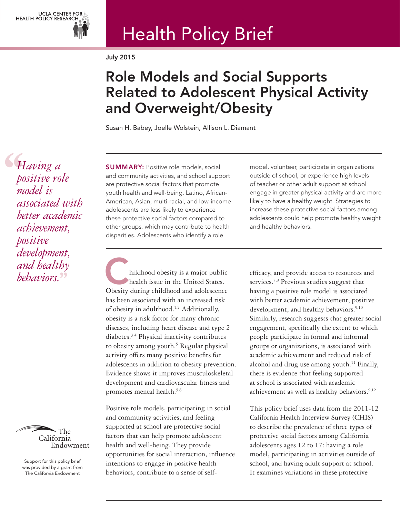

# Health Policy Brief

July 2015

# Role Models and Social Supports Related to Adolescent Physical Activity and Overweight/Obesity

Susan H. Babey, Joelle Wolstein, Allison L. Diamant

**4**<br>
po<br>
m<br>
as *Having a positive role model is associated with better academic achievement, positive development, and healthy* 



Support for this policy brief was provided by a grant from The California Endowment

**SUMMARY:** Positive role models, social and community activities, and school support are protective social factors that promote youth health and well-being. Latino, African-American, Asian, multi-racial, and low-income adolescents are less likely to experience these protective social factors compared to other groups, which may contribute to health disparities. Adolescents who identify a role

hildhood obesity is a major public health issue in the United States. Obesity during childhood and adolescence has been associated with an increased risk of obesity in adulthood.<sup>1,2</sup> Additionally, obesity is a risk factor for many chronic diseases, including heart disease and type 2 diabetes.3,4 Physical inactivity contributes to obesity among youth.<sup>5</sup> Regular physical activity offers many positive benefits for adolescents in addition to obesity prevention. Evidence shows it improves musculoskeletal development and cardiovascular fitness and promotes mental health.5,6 *behaviors.*<br> **behaviors.**<br> **behaviors.**<br> **behaviors.**<br> **behaviors.**<br> **behaviors.**<br> **behaviors.**<br> **behaviors.**<br> **behaviors.**<br> **behaviors**<br> **besity during childhood and adolescence**<br> **besity during childhood and adolescence** 

> Positive role models, participating in social and community activities, and feeling supported at school are protective social factors that can help promote adolescent health and well-being. They provide opportunities for social interaction, influence intentions to engage in positive health behaviors, contribute to a sense of self-

model, volunteer, participate in organizations outside of school, or experience high levels of teacher or other adult support at school engage in greater physical activity and are more likely to have a healthy weight. Strategies to increase these protective social factors among adolescents could help promote healthy weight and healthy behaviors.

services.<sup>7,8</sup> Previous studies suggest that having a positive role model is associated with better academic achievement, positive development, and healthy behaviors.<sup>9,10</sup> Similarly, research suggests that greater social engagement, specifically the extent to which people participate in formal and informal groups or organizations, is associated with academic achievement and reduced risk of alcohol and drug use among youth.<sup>11</sup> Finally, there is evidence that feeling supported at school is associated with academic achievement as well as healthy behaviors.<sup>9,12</sup>

This policy brief uses data from the 2011-12 California Health Interview Survey (CHIS) to describe the prevalence of three types of protective social factors among California adolescents ages 12 to 17: having a role model, participating in activities outside of school, and having adult support at school. It examines variations in these protective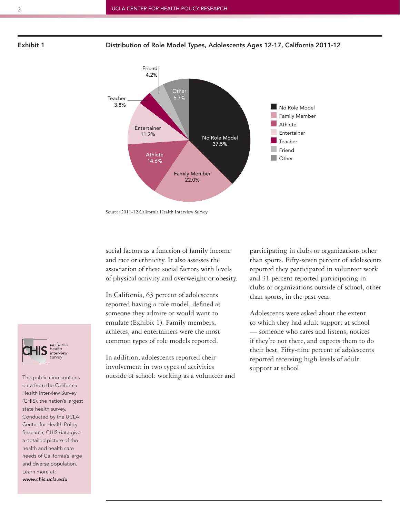

Exhibit 1 Distribution of Role Model Types, Adolescents Ages 12-17, California 2011-12



Source: 2011-12 California Health Interview Survey

social factors as a function of family income and race or ethnicity. It also assesses the association of these social factors with levels of physical activity and overweight or obesity.

In California, 63 percent of adolescents reported having a role model, defined as someone they admire or would want to emulate (Exhibit 1). Family members, athletes, and entertainers were the most common types of role models reported.

In addition, adolescents reported their involvement in two types of activities outside of school: working as a volunteer and participating in clubs or organizations other than sports. Fifty-seven percent of adolescents reported they participated in volunteer work and 31 percent reported participating in clubs or organizations outside of school, other than sports, in the past year.

Adolescents were asked about the extent to which they had adult support at school — someone who cares and listens, notices if they're not there, and expects them to do their best. Fifty-nine percent of adolescents reported receiving high levels of adult support at school.



This publication contains data from the California Health Interview Survey (CHIS), the nation's largest state health survey. Conducted by the UCLA Center for Health Policy Research, CHIS data give a detailed picture of the health and health care needs of California's large and diverse population. Learn more at: *www.chis.ucla.edu*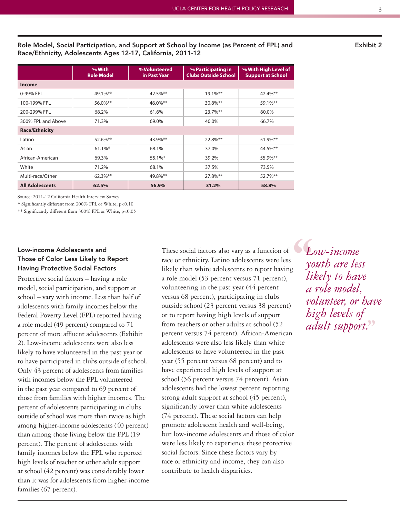Role Model, Social Participation, and Support at School by Income (as Percent of FPL) and Race/Ethnicity, Adolescents Ages 12-17, California, 2011-12

|                        | % With<br><b>Role Model</b> | %Volunteered<br>in Past Year | % Participating in<br><b>Clubs Outside School</b> | % With High Level of<br><b>Support at School</b> |
|------------------------|-----------------------------|------------------------------|---------------------------------------------------|--------------------------------------------------|
| <b>Income</b>          |                             |                              |                                                   |                                                  |
| 0-99% FPL              | 49.1%**                     | $42.5\%$ **                  | $19.1\%$ **                                       | 42.4%**                                          |
| 100-199% FPL           | 56.0%**                     | $46.0\%$ **                  | 30.8%**                                           | 59.1%**                                          |
| 200-299% FPL           | 68.2%                       | 61.6%                        | $23.7\%$ **                                       | 60.0%                                            |
| 300% FPL and Above     | 71.3%                       | 69.0%                        | 40.0%                                             | 66.7%                                            |
| <b>Race/Ethnicity</b>  |                             |                              |                                                   |                                                  |
| Latino                 | 52.6%**                     | 43.9%**                      | 22.8%**                                           | 51.9%**                                          |
| Asian                  | $61.1\%$ *                  | 68.1%                        | 37.0%                                             | 44.5%**                                          |
| African-American       | 69.3%                       | 55.1%*                       | 39.2%                                             | 55.9%**                                          |
| White                  | 71.2%                       | 68.1%                        | 37.5%                                             | 73.5%                                            |
| Multi-race/Other       | $62.3\%$ **                 | 49.8%**                      | 27.8%**                                           | 52.7%**                                          |
| <b>All Adolescents</b> | 62.5%                       | 56.9%                        | 31.2%                                             | 58.8%                                            |

Source: 2011-12 California Health Interview Survey

\* Significantly different from 300% FPL or White, p<0.10

\*\* Significantly different from 300% FPL or White, p<0.05

# Low-income Adolescents and Those of Color Less Likely to Report Having Protective Social Factors

Protective social factors – having a role model, social participation, and support at school – vary with income. Less than half of adolescents with family incomes below the Federal Poverty Level (FPL) reported having a role model (49 percent) compared to 71 percent of more affluent adolescents (Exhibit 2). Low-income adolescents were also less likely to have volunteered in the past year or to have participated in clubs outside of school. Only 43 percent of adolescents from families with incomes below the FPL volunteered in the past year compared to 69 percent of those from families with higher incomes. The percent of adolescents participating in clubs outside of school was more than twice as high among higher-income adolescents (40 percent) than among those living below the FPL (19 percent). The percent of adolescents with family incomes below the FPL who reported high levels of teacher or other adult support at school (42 percent) was considerably lower than it was for adolescents from higher-income families (67 percent).

These social factors also vary as a function of race or ethnicity. Latino adolescents were less likely than white adolescents to report having a role model (53 percent versus 71 percent), volunteering in the past year (44 percent versus 68 percent), participating in clubs outside school (23 percent versus 38 percent) or to report having high levels of support from teachers or other adults at school (52 percent versus 74 percent). African-American adolescents were also less likely than white adolescents to have volunteered in the past year (55 percent versus 68 percent) and to have experienced high levels of support at school (56 percent versus 74 percent). Asian adolescents had the lowest percent reporting strong adult support at school (45 percent), significantly lower than white adolescents (74 percent). These social factors can help promote adolescent health and well-being, but low-income adolescents and those of color were less likely to experience these protective social factors. Since these factors vary by race or ethnicity and income, they can also contribute to health disparities.

 $\begin{array}{c}\n\bullet \bullet \\
\bullet \quad y_0 \\
\bullet \quad \text{lin} \\
a\n\end{array}$ *Low-income youth are less likely to have a role model, volunteer, or have high levels of adult support.***''**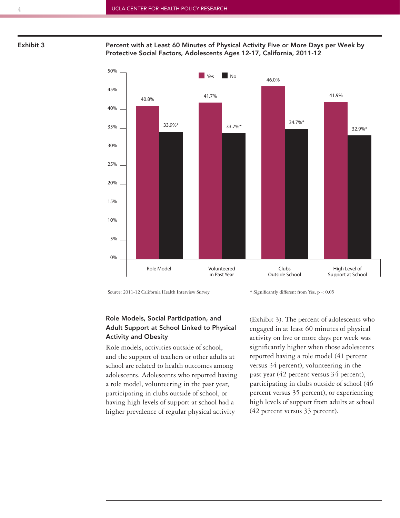Exhibit 3

### Percent with at Least 60 Minutes of Physical Activity Five or More Days per Week by Protective Social Factors, Adolescents Ages 12-17, California, 2011-12



Source: 2011-12 California Health Interview Survey \* Significantly different from Yes, p < 0.05

# Role Models, Social Participation, and Adult Support at School Linked to Physical Activity and Obesity

Role models, activities outside of school, and the support of teachers or other adults at school are related to health outcomes among adolescents. Adolescents who reported having a role model, volunteering in the past year, participating in clubs outside of school, or having high levels of support at school had a higher prevalence of regular physical activity

(Exhibit 3). The percent of adolescents who engaged in at least 60 minutes of physical activity on five or more days per week was significantly higher when those adolescents reported having a role model (41 percent versus 34 percent), volunteering in the past year (42 percent versus 34 percent), participating in clubs outside of school (46 percent versus 35 percent), or experiencing high levels of support from adults at school (42 percent versus 33 percent).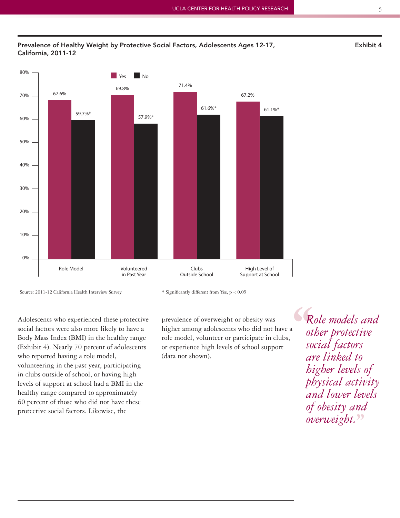## Prevalence of Healthy Weight by Protective Social Factors, Adolescents Ages 12-17, California, 2011-12



Source: 2011-12 California Health Interview Survey \* Significantly different from Yes, p < 0.05

Adolescents who experienced these protective social factors were also more likely to have a Body Mass Index (BMI) in the healthy range (Exhibit 4). Nearly 70 percent of adolescents who reported having a role model, volunteering in the past year, participating in clubs outside of school, or having high levels of support at school had a BMI in the healthy range compared to approximately 60 percent of those who did not have these protective social factors. Likewise, the

prevalence of overweight or obesity was higher among adolescents who did not have a role model, volunteer or participate in clubs, or experience high levels of school support (data not shown).

 $\begin{array}{c} \bullet & R \\ \bullet & \circ t \\ \mathit{so} & \mathit{so} \\ \mathit{av} & \mathit{av} \end{array}$ *Role models and other protective social factors are linked to higher levels of physical activity and lower levels of obesity and overweight.***''**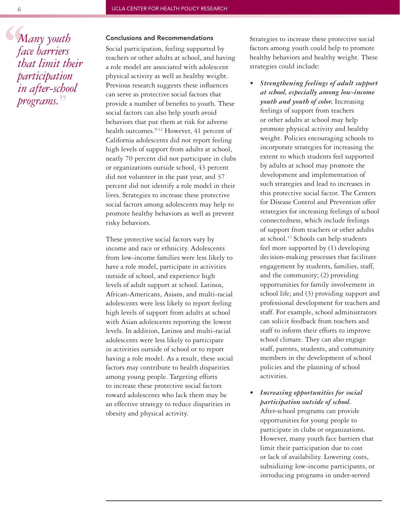**6 W**<br>fa<br>th<br>pa *Many youth face barriers that limit their participation in after-school programs.***''**

#### Conclusions and Recommendations

Social participation, feeling supported by teachers or other adults at school, and having a role model are associated with adolescent physical activity as well as healthy weight. Previous research suggests these influences can serve as protective social factors that provide a number of benefits to youth. These social factors can also help youth avoid behaviors that put them at risk for adverse health outcomes.<sup>9-12</sup> However, 41 percent of California adolescents did not report feeling high levels of support from adults at school, nearly 70 percent did not participate in clubs or organizations outside school, 43 percent did not volunteer in the past year, and 37 percent did not identify a role model in their lives. Strategies to increase these protective social factors among adolescents may help to promote healthy behaviors as well as prevent risky behaviors.

These protective social factors vary by income and race or ethnicity. Adolescents from low-income families were less likely to have a role model, participate in activities outside of school, and experience high levels of adult support at school. Latinos, African-Americans, Asians, and multi-racial adolescents were less likely to report feeling high levels of support from adults at school with Asian adolescents reporting the lowest levels. In addition, Latinos and multi-racial adolescents were less likely to participate in activities outside of school or to report having a role model. As a result, these social factors may contribute to health disparities among young people. Targeting efforts to increase these protective social factors toward adolescents who lack them may be an effective strategy to reduce disparities in obesity and physical activity.

Strategies to increase these protective social factors among youth could help to promote healthy behaviors and healthy weight. These strategies could include:

- *Strengthening feelings of adult support at school, especially among low-income youth and youth of color.* Increasing feelings of support from teachers or other adults at school may help promote physical activity and healthy weight. Policies encouraging schools to incorporate strategies for increasing the extent to which students feel supported by adults at school may promote the development and implementation of such strategies and lead to increases in this protective social factor. The Centers for Disease Control and Prevention offer strategies for increasing feelings of school connectedness, which include feelings of support from teachers or other adults at school.<sup>13</sup> Schools can help students feel more supported by (1) developing decision-making processes that facilitate engagement by students, families, staff, and the community; (2) providing opportunities for family involvement in school life; and (3) providing support and professional development for teachers and staff. For example, school administrators can solicit feedback from teachers and staff to inform their efforts to improve school climate. They can also engage staff, parents, students, and community members in the development of school policies and the planning of school activities.
- *Increasing opportunities for social participation outside of school.* After-school programs can provide opportunities for young people to participate in clubs or organizations. However, many youth face barriers that limit their participation due to cost or lack of availability. Lowering costs, subsidizing low-income participants, or introducing programs in under-served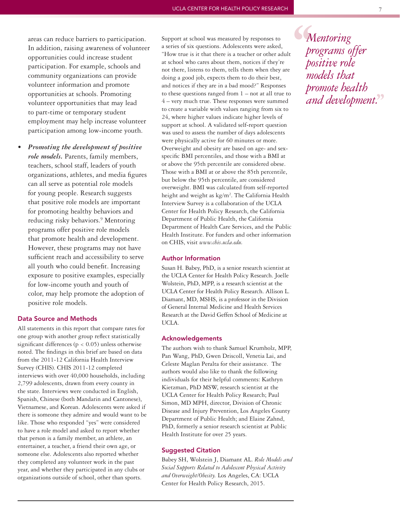areas can reduce barriers to participation. In addition, raising awareness of volunteer opportunities could increase student participation. For example, schools and community organizations can provide volunteer information and promote opportunities at schools. Promoting volunteer opportunities that may lead to part-time or temporary student employment may help increase volunteer participation among low-income youth.

• *Promoting the development of positive role models.* Parents, family members, teachers, school staff, leaders of youth organizations, athletes, and media figures can all serve as potential role models for young people. Research suggests that positive role models are important for promoting healthy behaviors and reducing risky behaviors.<sup>9</sup> Mentoring programs offer positive role models that promote health and development. However, these programs may not have sufficient reach and accessibility to serve all youth who could benefit. Increasing exposure to positive examples, especially for low-income youth and youth of color, may help promote the adoption of positive role models.

#### Data Source and Methods

All statements in this report that compare rates for one group with another group reflect statistically significant differences (p < 0.05) unless otherwise noted. The findings in this brief are based on data from the 2011-12 California Health Interview Survey (CHIS). CHIS 2011-12 completed interviews with over 40,000 households, including 2,799 adolescents, drawn from every county in the state. Interviews were conducted in English, Spanish, Chinese (both Mandarin and Cantonese), Vietnamese, and Korean. Adolescents were asked if there is someone they admire and would want to be like. Those who responded "yes" were considered to have a role model and asked to report whether that person is a family member, an athlete, an entertainer, a teacher, a friend their own age, or someone else. Adolescents also reported whether they completed any volunteer work in the past year, and whether they participated in any clubs or organizations outside of school, other than sports.

Support at school was measured by responses to a series of six questions. Adolescents were asked, "How true is it that there is a teacher or other adult at school who cares about them, notices if they're not there, listens to them, tells them when they are doing a good job, expects them to do their best, and notices if they are in a bad mood?" Responses to these questions ranged from  $1 - not$  at all true to 4 – very much true. These responses were summed to create a variable with values ranging from six to 24, where higher values indicate higher levels of support at school. A validated self-report question was used to assess the number of days adolescents were physically active for 60 minutes or more. Overweight and obesity are based on age- and sexspecific BMI percentiles, and those with a BMI at or above the 95th percentile are considered obese. Those with a BMI at or above the 85th percentile, but below the 95th percentile, are considered overweight. BMI was calculated from self-reported height and weight as kg/m<sup>2</sup>. The California Health Interview Survey is a collaboration of the UCLA Center for Health Policy Research, the California Department of Public Health, the California Department of Health Care Services, and the Public Health Institute. For funders and other information on CHIS, visit *www.chis.ucla.edu.*

#### Author Information

Susan H. Babey, PhD, is a senior research scientist at the UCLA Center for Health Policy Research. Joelle Wolstein, PhD, MPP, is a research scientist at the UCLA Center for Health Policy Research. Allison L. Diamant, MD, MSHS, is a professor in the Division of General Internal Medicine and Health Services Research at the David Geffen School of Medicine at UCLA.

#### Acknowledgements

The authors wish to thank Samuel Krumholz, MPP, Pan Wang, PhD, Gwen Driscoll, Venetia Lai, and Celeste Maglan Peralta for their assistance. The authors would also like to thank the following individuals for their helpful comments: Kathryn Kietzman, PhD MSW, research scientist at the UCLA Center for Health Policy Research; Paul Simon, MD MPH, director, Division of Chronic Disease and Injury Prevention, Los Angeles County Department of Public Health; and Elaine Zahnd, PhD, formerly a senior research scientist at Public Health Institute for over 25 years.

#### Suggested Citation

Babey SH, Wolstein J, Diamant AL. *Role Models and Social Supports Related to Adolescent Physical Activity and Overweight/Obesity.* Los Angeles, CA: UCLA Center for Health Policy Research, 2015.

**S**<br>
pr<br>
po<br>
m *Mentoring programs offer positive role models that promote health and development.***''**